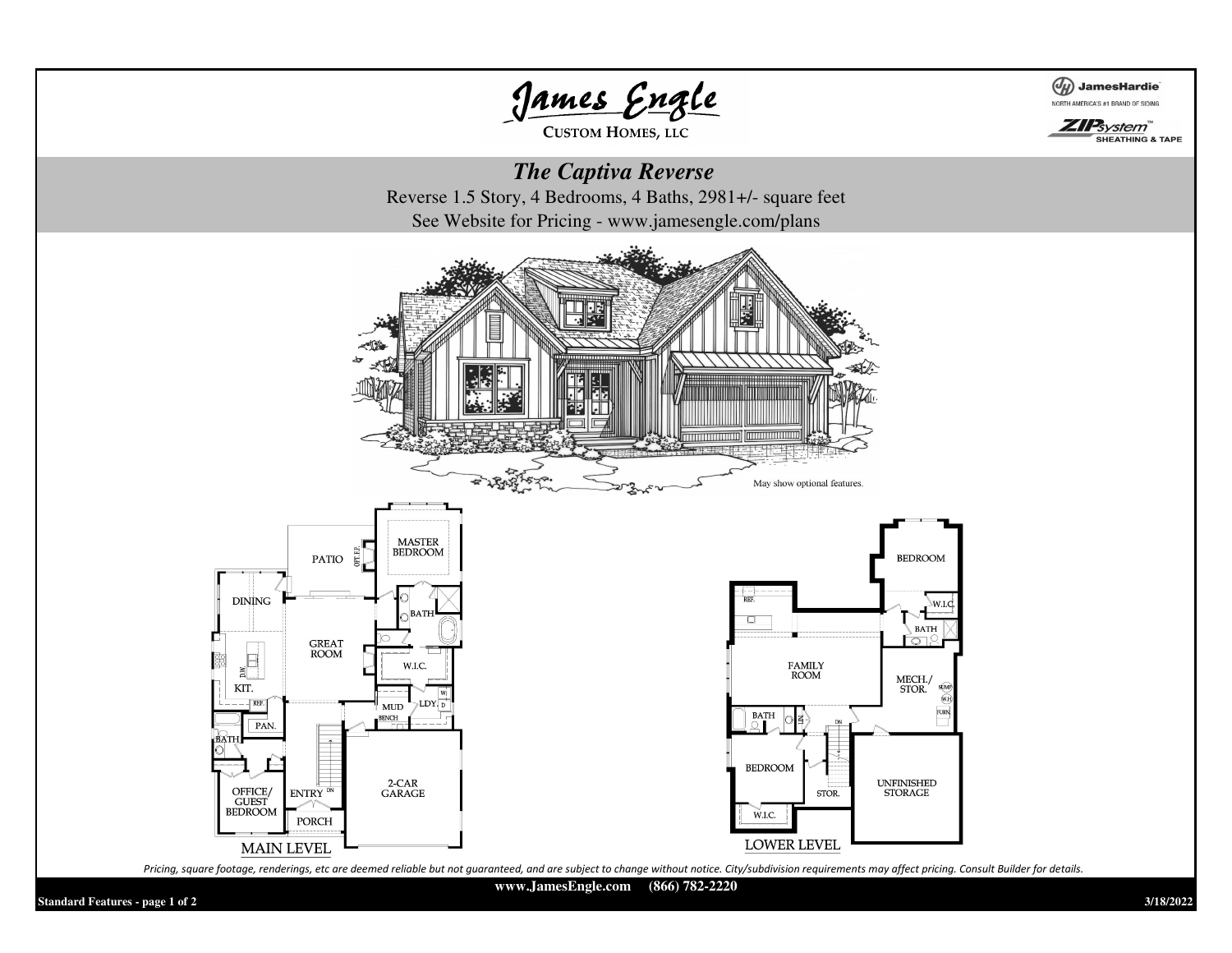